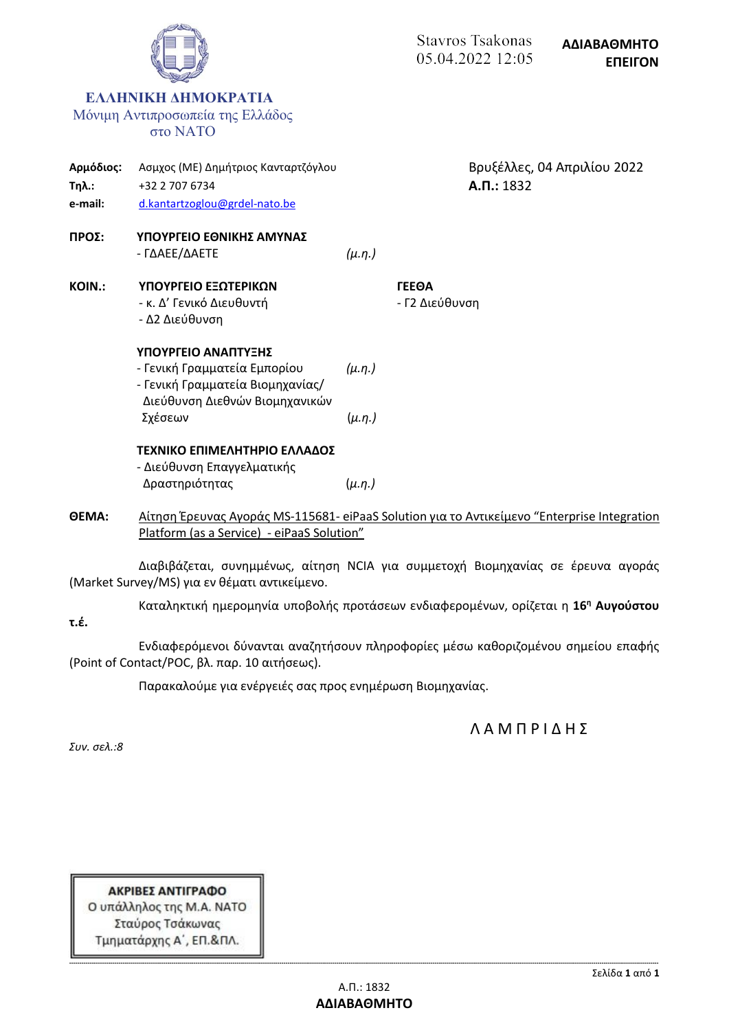|                                      |                                                                                                                           |               | <b>Stavros Tsakonas</b><br>05.04.2022 12:05 | ΑΔΙΑΒΑΘΜΗΤΟ<br><b>ENEIFON</b> |
|--------------------------------------|---------------------------------------------------------------------------------------------------------------------------|---------------|---------------------------------------------|-------------------------------|
|                                      | ΕΛΛΗΝΙΚΗ ΔΗΜΟΚΡΑΤΙΑ<br>Μόνιμη Αντιπροσωπεία της Ελλάδος<br>στο ΝΑΤΟ                                                       |               |                                             |                               |
| Αρμόδιος:<br><b>Τηλ.:</b><br>e-mail: | Ασμχος (ΜΕ) Δημήτριος Κανταρτζόγλου<br>+32 2 707 6734<br>d.kantartzoglou@grdel-nato.be                                    |               | $A.\Pi.: 1832$                              | Βρυξέλλες, 04 Απριλίου 2022   |
| ΠΡΟΣ:                                | ΥΠΟΥΡΓΕΙΟ ΕΘΝΙΚΗΣ ΑΜΥΝΑΣ<br>- ΓΔΑΕΕ/ΔΑΕΤΕ                                                                                 | $(\mu.\eta.)$ |                                             |                               |
| KOIN.:                               | ΥΠΟΥΡΓΕΙΟ ΕΞΩΤΕΡΙΚΩΝ<br>- κ. Δ' Γενικό Διευθυντή<br>- Δ2 Διεύθυνση                                                        |               | <b><i>TEEOA</i></b><br>- Γ2 Διεύθυνση       |                               |
|                                      | ΥΠΟΥΡΓΕΙΟ ΑΝΑΠΤΥΞΗΣ<br>- Γενική Γραμματεία Εμπορίου<br>- Γενική Γραμματεία Βιομηχανίας/<br>Διεύθυνση Διεθνών Βιομηχανικών | $(\mu.n.)$    |                                             |                               |
|                                      | Σχέσεων                                                                                                                   | $(\mu.\eta.)$ |                                             |                               |
|                                      | ΤΕΧΝΙΚΟ ΕΠΙΜΕΛΗΤΗΡΙΟ ΕΛΛΑΔΟΣ<br>- Διεύθυνση Επαγγελματικής                                                                |               |                                             |                               |
|                                      | Δραστηριότητας                                                                                                            | $(\mu.\eta.)$ |                                             |                               |

**ΘΕΜΑ:** Αίτηση Έρευνας Αγοράς MS-115681- eiPaaS Solution για το Αντικείμενο "Enterprise Integration Platform (as a Service) - eiPaaS Solution"

Διαβιβάζεται, συνημμένως, αίτηση NCIA για συμμετοχή Βιομηχανίας σε έρευνα αγοράς (Market Survey/MS) για εν θέματι αντικείμενο.

Καταληκτική ημερομηνία υποβολής προτάσεων ενδιαφερομένων, ορίζεται η **16<sup>η</sup> Αυγούστου τ.έ.**

Ενδιαφερόμενοι δύνανται αναζητήσουν πληροφορίες μέσω καθοριζομένου σημείου επαφής (Point of Contact/POC, βλ. παρ. 10 αιτήσεως).

Παρακαλούμε για ενέργειές σας προς ενημέρωση Βιομηχανίας.

Λ Α Μ Π Ρ Ι Δ Η Σ

*Συν. σελ.:8*

ΑΚΡΙΒΕΣ ΑΝΤΙΓΡΑΦΟ Ο υπάλληλος της Μ.Α. ΝΑΤΟ Σταύρος Τσάκωνας Τμηματάρχης Α΄, ΕΠ.&ΠΛ.

 $\sim$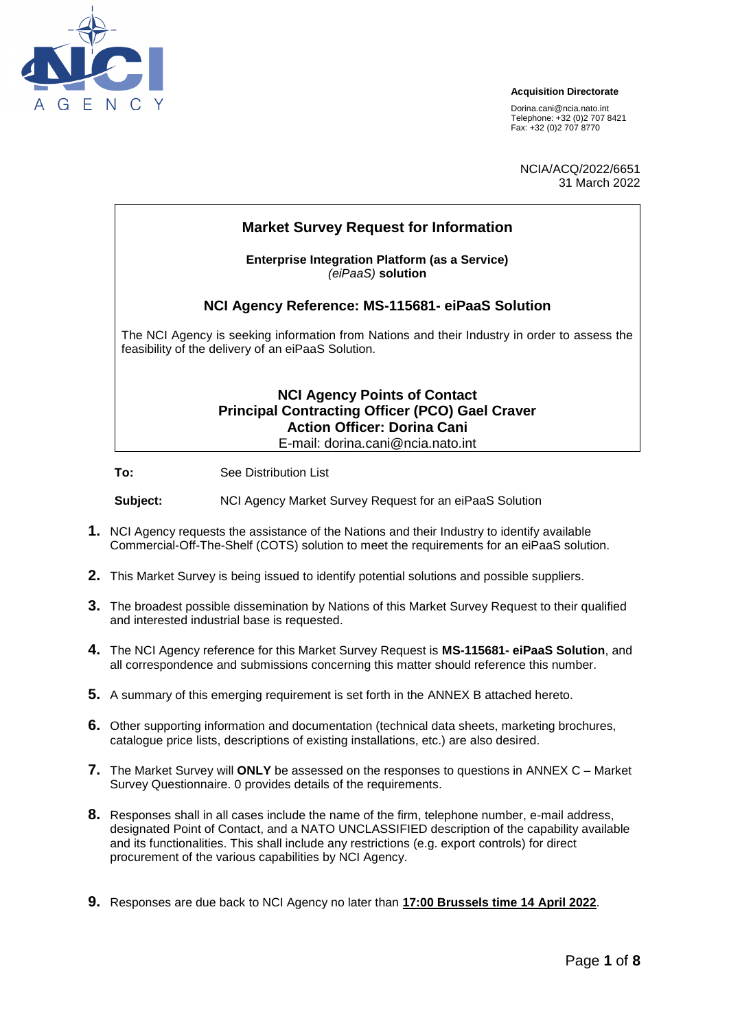

#### **Acquisition Directorate**

[Dorina.cani@ncia.nato.int](mailto:Dorina.cani@ncia.nato.int) Telephone: +32 (0)2 707 8421 Fax: +32 (0)2 707 8770

NCIA/ACQ/2022/6651 31 March 2022

# **Market Survey Request for Information Enterprise Integration Platform (as a Service)** *(eiPaaS)* **solution NCI Agency Reference: MS-115681- eiPaaS Solution**  The NCI Agency is seeking information from Nations and their Industry in order to assess the feasibility of the delivery of an eiPaaS Solution. **NCI Agency Points of Contact Principal Contracting Officer (PCO) Gael Craver Action Officer: Dorina Cani** E-mail: dorina.cani@ncia.nato.int

**To:** See Distribution List

**Subject:** NCI Agency Market Survey Request for an eiPaaS Solution

- **1.** NCI Agency requests the assistance of the Nations and their Industry to identify available Commercial-Off-The-Shelf (COTS) solution to meet the requirements for an eiPaaS solution.
- **2.** This Market Survey is being issued to identify potential solutions and possible suppliers.
- **3.** The broadest possible dissemination by Nations of this Market Survey Request to their qualified and interested industrial base is requested.
- **4.** The NCI Agency reference for this Market Survey Request is **MS-115681- eiPaaS Solution**, and all correspondence and submissions concerning this matter should reference this number.
- **5.** A summary of this emerging requirement is set forth in the ANNEX B attached hereto.
- **6.** Other supporting information and documentation (technical data sheets, marketing brochures, catalogue price lists, descriptions of existing installations, etc.) are also desired.
- **7.** The Market Survey will **ONLY** be assessed on the responses to questions in ANNEX C Market Survey Questionnaire. 0 provides details of the requirements.
- **8.** Responses shall in all cases include the name of the firm, telephone number, e-mail address, designated Point of Contact, and a NATO UNCLASSIFIED description of the capability available and its functionalities. This shall include any restrictions (e.g. export controls) for direct procurement of the various capabilities by NCI Agency.
- **9.** Responses are due back to NCI Agency no later than **17:00 Brussels time 14 April 2022**.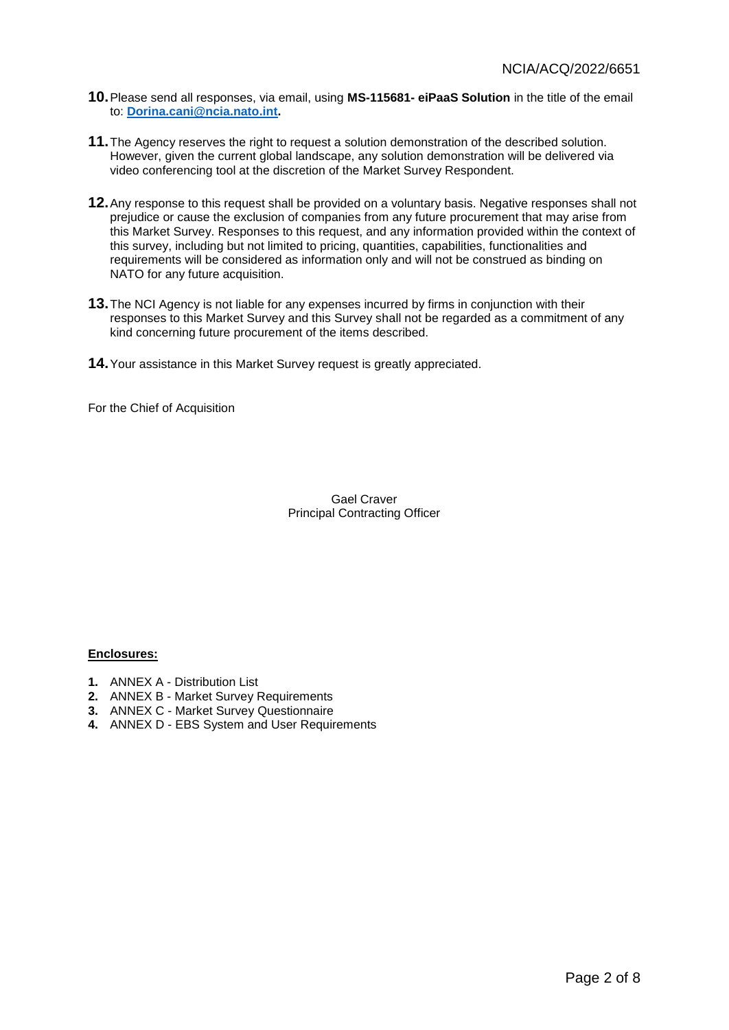- **10.**Please send all responses, via email, using **MS-115681- eiPaaS Solution** in the title of the email to: **[Dorina.cani@ncia.nato.int.](mailto:Dorina.cani@ncia.nato.int)**
- **11.**The Agency reserves the right to request a solution demonstration of the described solution. However, given the current global landscape, any solution demonstration will be delivered via video conferencing tool at the discretion of the Market Survey Respondent.
- **12.**Any response to this request shall be provided on a voluntary basis. Negative responses shall not prejudice or cause the exclusion of companies from any future procurement that may arise from this Market Survey. Responses to this request, and any information provided within the context of this survey, including but not limited to pricing, quantities, capabilities, functionalities and requirements will be considered as information only and will not be construed as binding on NATO for any future acquisition.
- **13.**The NCI Agency is not liable for any expenses incurred by firms in conjunction with their responses to this Market Survey and this Survey shall not be regarded as a commitment of any kind concerning future procurement of the items described.
- **14.**Your assistance in this Market Survey request is greatly appreciated.

For the Chief of Acquisition

Gael Craver Principal Contracting Officer

#### **Enclosures:**

- **1.** ANNEX A Distribution List
- **2.** ANNEX B Market Survey Requirements
- **3.** ANNEX C Market Survey Questionnaire
- **4.** ANNEX D EBS System and User Requirements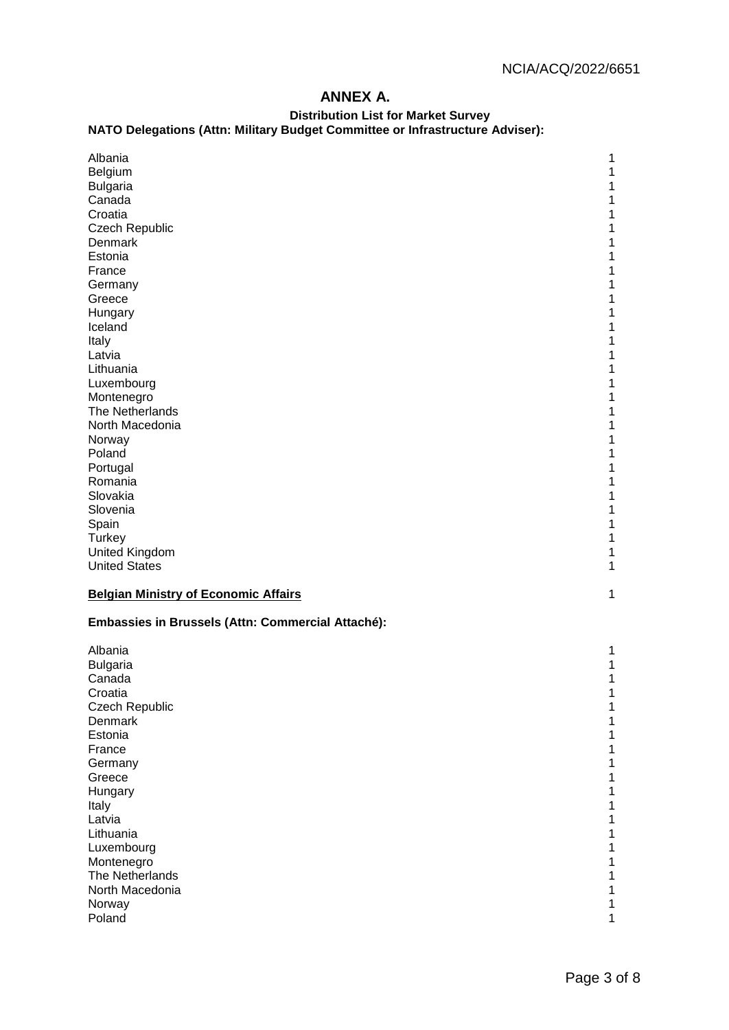# **ANNEX A.**

# **Distribution List for Market Survey**

#### **NATO Delegations (Attn: Military Budget Committee or Infrastructure Adviser):**

| Albania                                           | 1 |
|---------------------------------------------------|---|
| Belgium                                           | 1 |
| <b>Bulgaria</b>                                   | 1 |
| Canada                                            | 1 |
| Croatia                                           | 1 |
| Czech Republic                                    | 1 |
| Denmark                                           | 1 |
| Estonia                                           | 1 |
| France                                            |   |
| Germany                                           |   |
| Greece                                            |   |
| Hungary                                           | 1 |
| Iceland                                           | 1 |
| Italy                                             | 1 |
| Latvia                                            | 1 |
| Lithuania                                         | 1 |
| Luxembourg                                        | 1 |
| Montenegro                                        | 1 |
| The Netherlands                                   | 1 |
| North Macedonia                                   | 1 |
| Norway                                            |   |
| Poland                                            |   |
| Portugal                                          |   |
| Romania                                           | 1 |
| Slovakia                                          | 1 |
| Slovenia                                          | 1 |
| Spain                                             | 1 |
| Turkey                                            | 1 |
| United Kingdom                                    | 1 |
| <b>United States</b>                              | 1 |
|                                                   |   |
| <b>Belgian Ministry of Economic Affairs</b>       | 1 |
| Embassies in Brussels (Attn: Commercial Attaché): |   |
| Albania                                           | 1 |
| <b>Bulgaria</b>                                   | 1 |
| Canada                                            | 1 |
| Croatia                                           | 1 |
| Czech Republic                                    |   |
| Denmark                                           |   |
| Estonia                                           |   |
| France                                            |   |
| Germany                                           |   |
| Greece                                            |   |
| Hungary                                           |   |
| Italy                                             |   |
| Latvia                                            |   |
| Lithuania                                         |   |
| Luxembourg                                        |   |
| Montenegro                                        |   |
| The Netherlands                                   |   |
| North Macedonia                                   |   |
| Norway                                            | 1 |
| Poland                                            | 1 |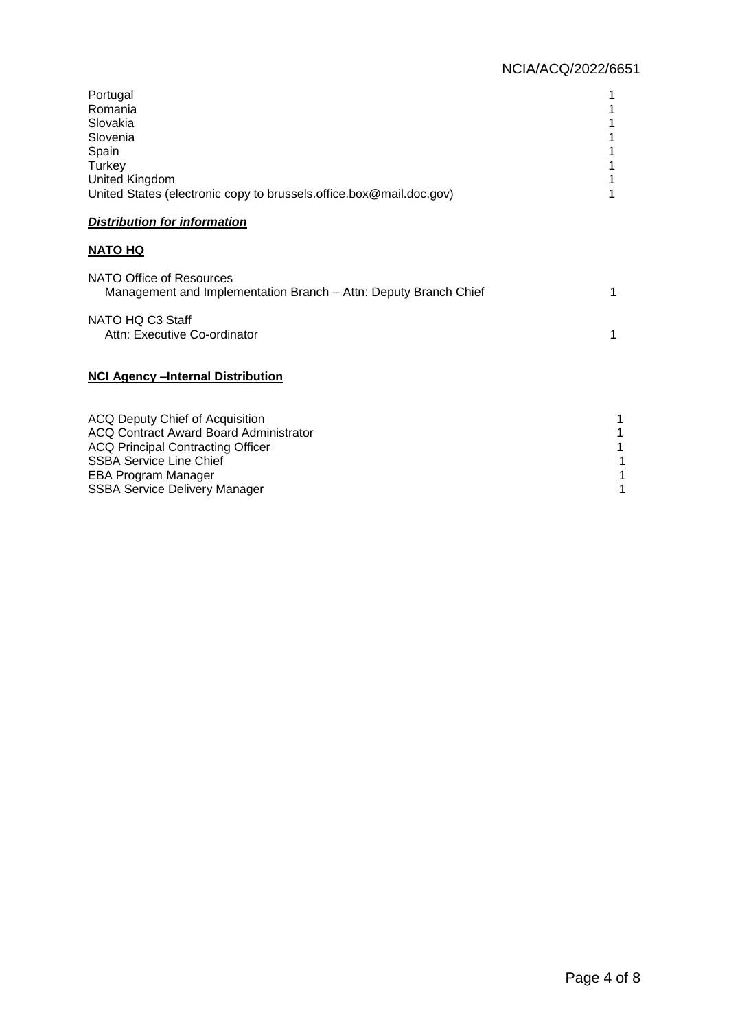| Portugal<br>Romania<br>Slovakia<br>Slovenia<br>Spain<br>Turkey<br>United Kingdom<br>United States (electronic copy to brussels.office.box@mail.doc.gov) |   |
|---------------------------------------------------------------------------------------------------------------------------------------------------------|---|
| <b>Distribution for information</b>                                                                                                                     |   |
| <b>NATO HQ</b>                                                                                                                                          |   |
| NATO Office of Resources<br>Management and Implementation Branch - Attn: Deputy Branch Chief                                                            | 1 |
| NATO HQ C3 Staff<br>Attn: Executive Co-ordinator                                                                                                        | 1 |
| <b>NCI Agency - Internal Distribution</b>                                                                                                               |   |
| ACQ Deputy Chief of Acquisition<br><b>ACQ Contract Award Board Administrator</b><br>-----                                                               |   |

ACQ Principal Contracting Officer 1 SSBA Service Line Chief 1 EBA Program Manager 1 SSBA Service Delivery Manager 1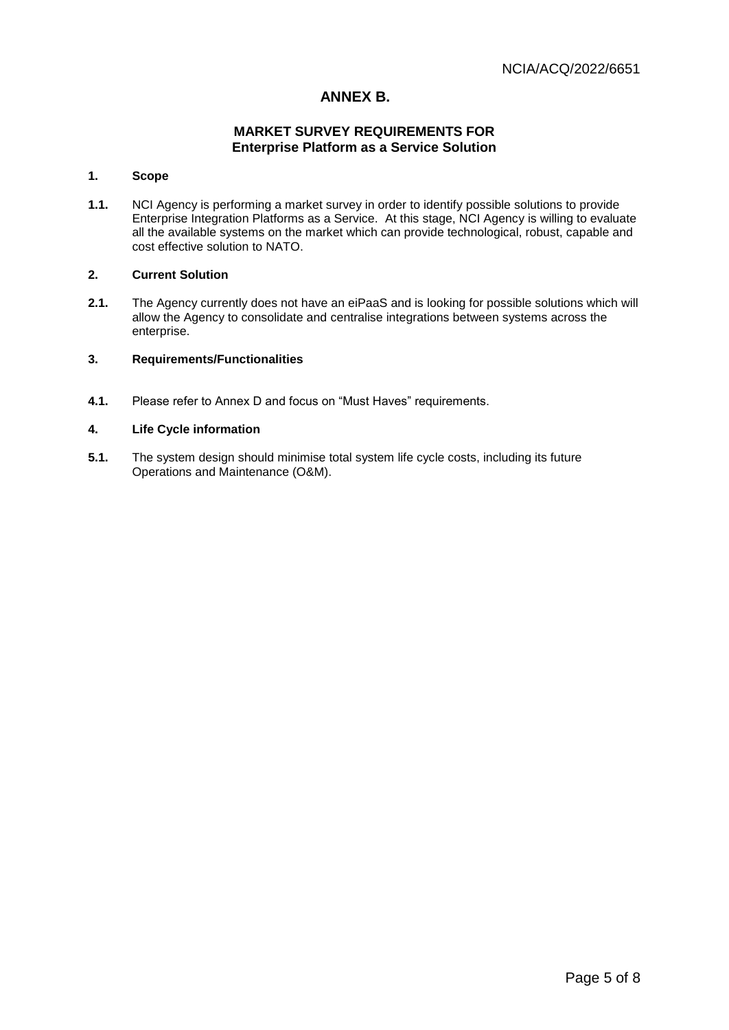## **ANNEX B.**

## **MARKET SURVEY REQUIREMENTS FOR Enterprise Platform as a Service Solution**

#### **1. Scope**

**1.1.** NCI Agency is performing a market survey in order to identify possible solutions to provide Enterprise Integration Platforms as a Service. At this stage, NCI Agency is willing to evaluate all the available systems on the market which can provide technological, robust, capable and cost effective solution to NATO.

#### **2. Current Solution**

**2.1.** The Agency currently does not have an eiPaaS and is looking for possible solutions which will allow the Agency to consolidate and centralise integrations between systems across the enterprise.

#### **3. Requirements/Functionalities**

**4.1.** Please refer to Annex D and focus on "Must Haves" requirements.

#### **4. Life Cycle information**

**5.1.** The system design should minimise total system life cycle costs, including its future Operations and Maintenance (O&M).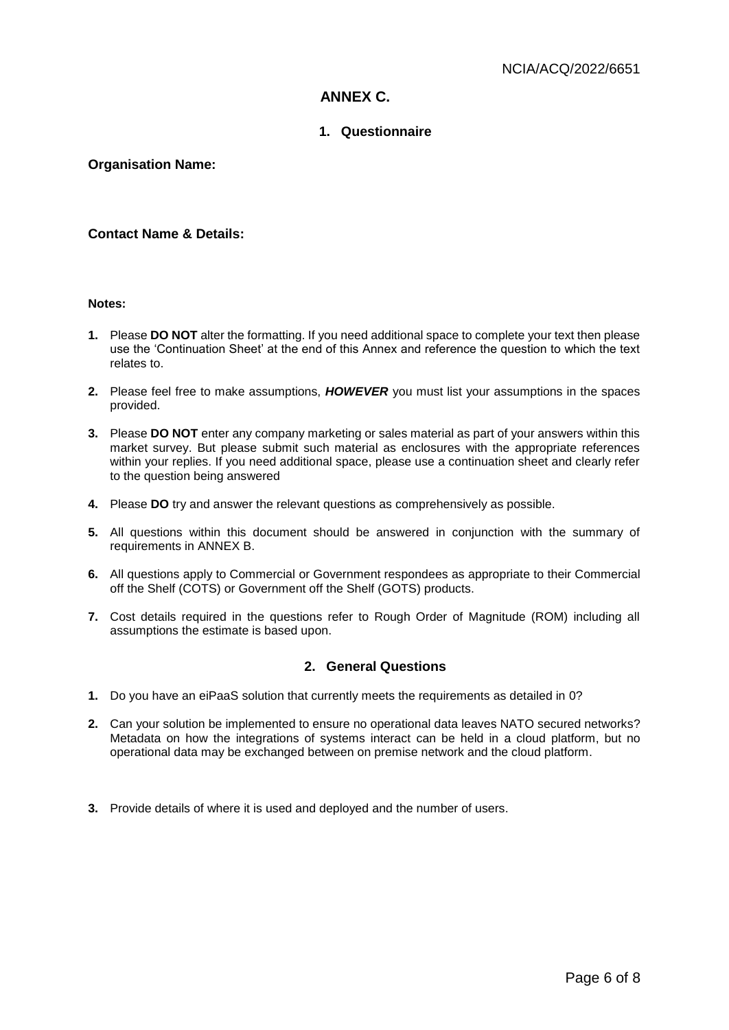# **ANNEX C.**

## **1. Questionnaire**

## **Organisation Name:**

## **Contact Name & Details:**

## **Notes:**

- **1.** Please **DO NOT** alter the formatting. If you need additional space to complete your text then please use the 'Continuation Sheet' at the end of this Annex and reference the question to which the text relates to.
- **2.** Please feel free to make assumptions, *HOWEVER* you must list your assumptions in the spaces provided.
- **3.** Please **DO NOT** enter any company marketing or sales material as part of your answers within this market survey. But please submit such material as enclosures with the appropriate references within your replies. If you need additional space, please use a continuation sheet and clearly refer to the question being answered
- **4.** Please **DO** try and answer the relevant questions as comprehensively as possible.
- **5.** All questions within this document should be answered in conjunction with the summary of requirements in ANNEX B.
- **6.** All questions apply to Commercial or Government respondees as appropriate to their Commercial off the Shelf (COTS) or Government off the Shelf (GOTS) products.
- **7.** Cost details required in the questions refer to Rough Order of Magnitude (ROM) including all assumptions the estimate is based upon.

### **2. General Questions**

- **1.** Do you have an eiPaaS solution that currently meets the requirements as detailed in 0?
- **2.** Can your solution be implemented to ensure no operational data leaves NATO secured networks? Metadata on how the integrations of systems interact can be held in a cloud platform, but no operational data may be exchanged between on premise network and the cloud platform.
- **3.** Provide details of where it is used and deployed and the number of users.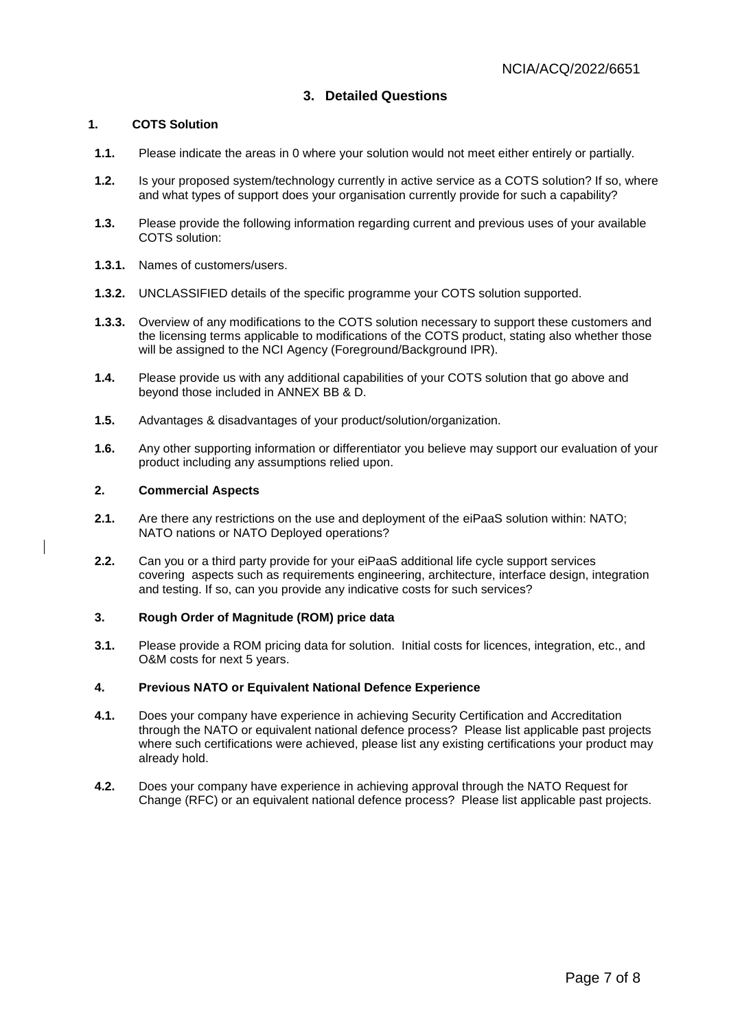## **3. Detailed Questions**

#### **1. COTS Solution**

- **1.1.** Please indicate the areas in 0 where your solution would not meet either entirely or partially.
- **1.2.** Is your proposed system/technology currently in active service as a COTS solution? If so, where and what types of support does your organisation currently provide for such a capability?
- **1.3.** Please provide the following information regarding current and previous uses of your available COTS solution:
- **1.3.1.** Names of customers/users.
- **1.3.2.** UNCLASSIFIED details of the specific programme your COTS solution supported.
- **1.3.3.** Overview of any modifications to the COTS solution necessary to support these customers and the licensing terms applicable to modifications of the COTS product, stating also whether those will be assigned to the NCI Agency (Foreground/Background IPR).
- **1.4.** Please provide us with any additional capabilities of your COTS solution that go above and beyond those included in ANNEX BB & D.
- **1.5.** Advantages & disadvantages of your product/solution/organization.
- **1.6.** Any other supporting information or differentiator you believe may support our evaluation of your product including any assumptions relied upon.

#### **2. Commercial Aspects**

- **2.1.** Are there any restrictions on the use and deployment of the eiPaaS solution within: NATO; NATO nations or NATO Deployed operations?
- **2.2.** Can you or a third party provide for your eiPaaS additional life cycle support services covering aspects such as requirements engineering, architecture, interface design, integration and testing. If so, can you provide any indicative costs for such services?

### **3. Rough Order of Magnitude (ROM) price data**

**3.1.** Please provide a ROM pricing data for solution. Initial costs for licences, integration, etc., and O&M costs for next 5 years.

#### **4. Previous NATO or Equivalent National Defence Experience**

- **4.1.** Does your company have experience in achieving Security Certification and Accreditation through the NATO or equivalent national defence process? Please list applicable past projects where such certifications were achieved, please list any existing certifications your product may already hold.
- **4.2.** Does your company have experience in achieving approval through the NATO Request for Change (RFC) or an equivalent national defence process? Please list applicable past projects.